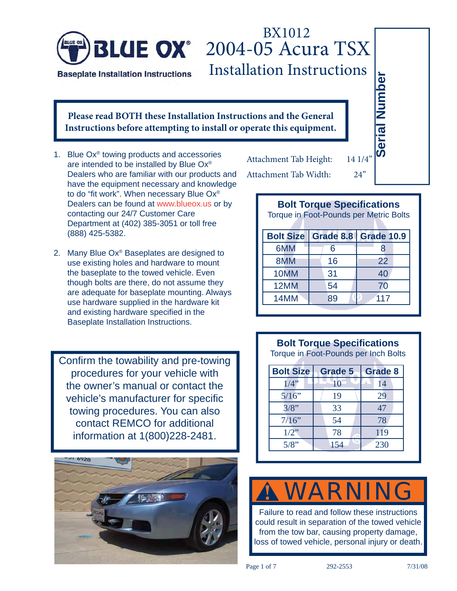

### **BLUE OX** 2004-05 Acura TSX Installation Instructions BX1012

#### **Please read BOTH these Installation Instructions and the General Instructions before attempting to install or operate this equipment.**

- 1. Blue Ox® towing products and accessories are intended to be installed by Blue Ox® Dealers who are familiar with our products and have the equipment necessary and knowledge to do "fit work". When necessary Blue Ox® Dealers can be found at www.blueox.us or by contacting our 24/7 Customer Care Department at (402) 385-3051 or toll free (888) 425-5382.
- 2. Many Blue Ox® Baseplates are designed to use existing holes and hardware to mount the baseplate to the towed vehicle. Even though bolts are there, do not assume they are adequate for baseplate mounting. Always use hardware supplied in the hardware kit and existing hardware specified in the Baseplate Installation Instructions.

Confirm the towability and pre-towing procedures for your vehicle with the owner's manual or contact the vehicle's manufacturer for specific towing procedures. You can also contact REMCO for additional information at 1(800)228-2481.



Attachment Tab Height: 14 1/4' Attachment Tab Width: 24"

|                                                            | tivii moti uctiviis                         | Number                                                                      |                   |  |  |  |
|------------------------------------------------------------|---------------------------------------------|-----------------------------------------------------------------------------|-------------------|--|--|--|
|                                                            | ons and the General<br>rate this equipment. | <b>Serial</b>                                                               |                   |  |  |  |
| tachment Tab Height: 14 1/4"<br>24"<br>tachment Tab Width: |                                             |                                                                             |                   |  |  |  |
|                                                            |                                             | <b>Bolt Torque Specifications</b><br>Torque in Foot-Pounds per Metric Bolts |                   |  |  |  |
|                                                            |                                             |                                                                             |                   |  |  |  |
|                                                            | <b>Bolt Size</b>                            | Grade 8.8                                                                   | <b>Grade 10.9</b> |  |  |  |
|                                                            | 6MM                                         | 6                                                                           | 8                 |  |  |  |
|                                                            | 8MM                                         | 16                                                                          | 22                |  |  |  |
|                                                            | 10MM                                        | 31                                                                          | 40                |  |  |  |
|                                                            | 12MM                                        | 54                                                                          | 70                |  |  |  |
|                                                            | 14MM                                        | 89                                                                          | 117               |  |  |  |

#### **Bolt Torque Specifications**

Torque in Foot-Pounds per Inch Bolts

| <b>Bolt Size</b> | <b>Grade 5</b> | <b>Grade 8</b> |
|------------------|----------------|----------------|
| $1/4$ "          |                | 14             |
| 5/16"            | 19             | 29             |
| 3/8"             | 33             | 47             |
| 7/16"            | 54             | 78             |
| $1/2$ "          | 78             | 119            |
| 5/8"             | 154            | 230            |

#### **!** WARNING

Failure to read and follow these instructions could result in separation of the towed vehicle from the tow bar, causing property damage, loss of towed vehicle, personal injury or death.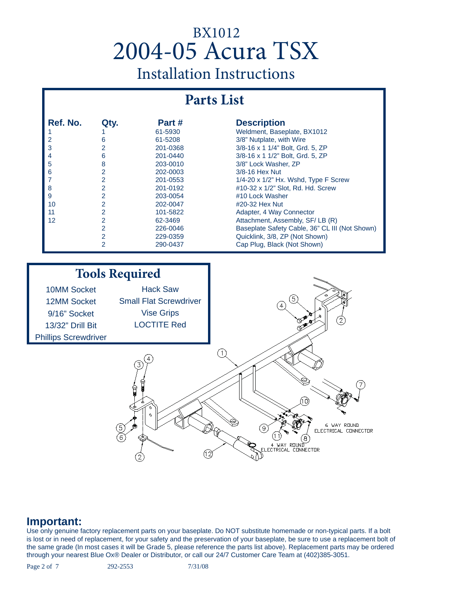### **Parts List**

| Ref. No. | Qty. | Part#    | <b>Description</b>                             |
|----------|------|----------|------------------------------------------------|
|          |      | 61-5930  | Weldment, Baseplate, BX1012                    |
| 2        | 6    | 61-5208  | 3/8" Nutplate, with Wire                       |
| 3        |      | 201-0368 | 3/8-16 x 1 1/4" Bolt, Grd. 5, ZP               |
| 4        | 6    | 201-0440 | 3/8-16 x 1 1/2" Bolt, Grd. 5, ZP               |
| 5        | 8    | 203-0010 | 3/8" Lock Washer, ZP                           |
| 6        | 2    | 202-0003 | $3/8 - 16$ Hex Nut                             |
| 7        | 2    | 201-0553 | 1/4-20 x 1/2" Hx. Wshd, Type F Screw           |
| 8        | 2    | 201-0192 | #10-32 x 1/2" Slot, Rd. Hd. Screw              |
| 9        |      | 203-0054 | #10 Lock Washer                                |
| 10       | 2    | 202-0047 | #20-32 Hex Nut                                 |
| 11       | 2    | 101-5822 | Adapter, 4 Way Connector                       |
| 12       | 2    | 62-3469  | Attachment, Assembly, SF/LB (R)                |
|          | 2    | 226-0046 | Baseplate Safety Cable, 36" CL III (Not Shown) |
|          | 2    | 229-0359 | Quicklink, 3/8, ZP (Not Shown)                 |
|          | 2    | 290-0437 | Cap Plug, Black (Not Shown)                    |



#### **Important:**

Use only genuine factory replacement parts on your baseplate. Do NOT substitute homemade or non-typical parts. If a bolt is lost or in need of replacement, for your safety and the preservation of your baseplate, be sure to use a replacement bolt of the same grade (In most cases it will be Grade 5, please reference the parts list above). Replacement parts may be ordered through your nearest Blue Ox® Dealer or Distributor, or call our 24/7 Customer Care Team at (402)385-3051.

Page 2 of 7 292-2553 7/31/08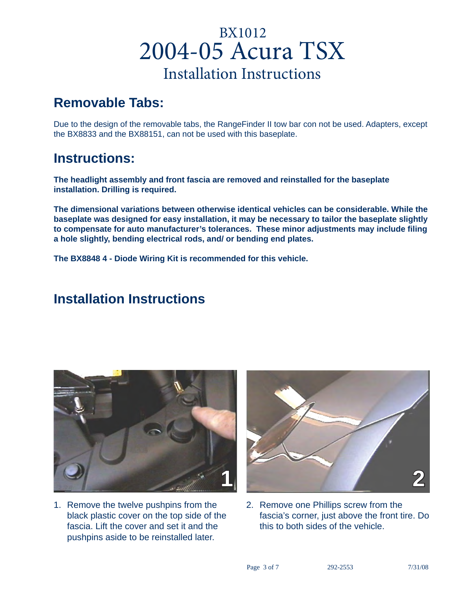### **Removable Tabs:**

Due to the design of the removable tabs, the RangeFinder II tow bar con not be used. Adapters, except the BX8833 and the BX88151, can not be used with this baseplate.

### **Instructions:**

**The headlight assembly and front fascia are removed and reinstalled for the baseplate installation. Drilling is required.** 

**The dimensional variations between otherwise identical vehicles can be considerable. While the baseplate was designed for easy installation, it may be necessary to tailor the baseplate slightly to compensate for auto manufacturer's tolerances. These minor adjustments may include fi ling a hole slightly, bending electrical rods, and/ or bending end plates.**

**The BX8848 4 - Diode Wiring Kit is recommended for this vehicle.**

### **Installation Instructions**



1. Remove the twelve pushpins from the black plastic cover on the top side of the fascia. Lift the cover and set it and the pushpins aside to be reinstalled later.



2. Remove one Phillips screw from the fascia's corner, just above the front tire. Do this to both sides of the vehicle.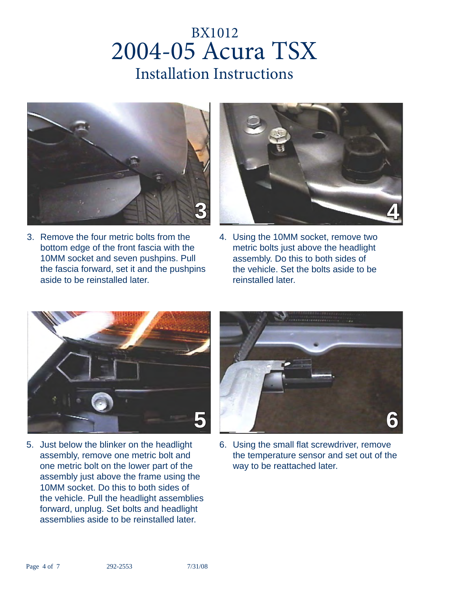

3. Remove the four metric bolts from the bottom edge of the front fascia with the 10MM socket and seven pushpins. Pull the fascia forward, set it and the pushpins aside to be reinstalled later.



4. Using the 10MM socket, remove two metric bolts just above the headlight assembly. Do this to both sides of the vehicle. Set the bolts aside to be reinstalled later.



5. Just below the blinker on the headlight assembly, remove one metric bolt and one metric bolt on the lower part of the assembly just above the frame using the 10MM socket. Do this to both sides of the vehicle. Pull the headlight assemblies forward, unplug. Set bolts and headlight assemblies aside to be reinstalled later.



6. Using the small flat screwdriver, remove the temperature sensor and set out of the way to be reattached later.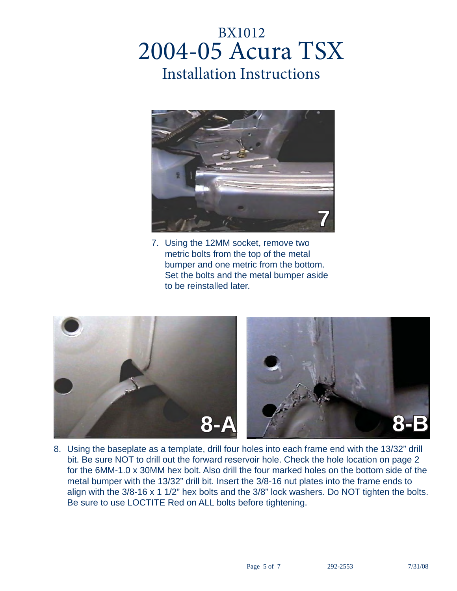

7. Using the 12MM socket, remove two metric bolts from the top of the metal bumper and one metric from the bottom. Set the bolts and the metal bumper aside to be reinstalled later.



8. Using the baseplate as a template, drill four holes into each frame end with the 13/32" drill bit. Be sure NOT to drill out the forward reservoir hole. Check the hole location on page 2 for the 6MM-1.0 x 30MM hex bolt. Also drill the four marked holes on the bottom side of the metal bumper with the 13/32" drill bit. Insert the 3/8-16 nut plates into the frame ends to align with the 3/8-16 x 1 1/2" hex bolts and the 3/8" lock washers. Do NOT tighten the bolts. Be sure to use LOCTITE Red on ALL bolts before tightening.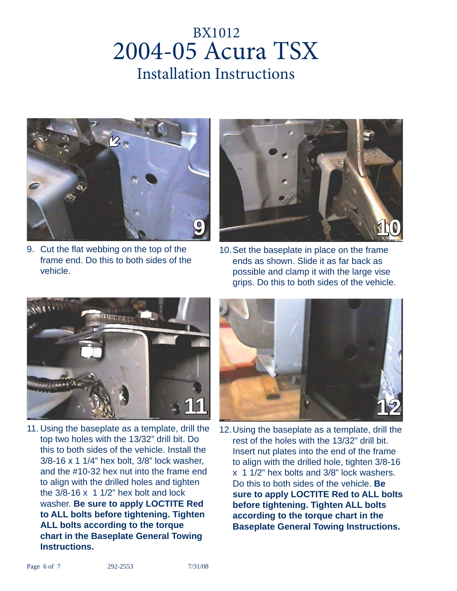

9. Cut the flat webbing on the top of the frame end. Do this to both sides of the vehicle.



10. Set the baseplate in place on the frame ends as shown. Slide it as far back as possible and clamp it with the large vise grips. Do this to both sides of the vehicle.



11. Using the baseplate as a template, drill the top two holes with the 13/32" drill bit. Do this to both sides of the vehicle. Install the 3/8-16 x 1 1/4" hex bolt, 3/8" lock washer, and the #10-32 hex nut into the frame end to align with the drilled holes and tighten the  $3/8-16 \times 11/2$ " hex bolt and lock washer. **Be sure to apply LOCTITE Red to ALL bolts before tightening. Tighten ALL bolts according to the torque chart in the Baseplate General Towing Instructions.**



12. Using the baseplate as a template, drill the rest of the holes with the 13/32" drill bit. Insert nut plates into the end of the frame to align with the drilled hole, tighten 3/8-16 x 1 1/2" hex bolts and 3/8" lock washers. Do this to both sides of the vehicle. **Be sure to apply LOCTITE Red to ALL bolts before tightening. Tighten ALL bolts according to the torque chart in the Baseplate General Towing Instructions.**